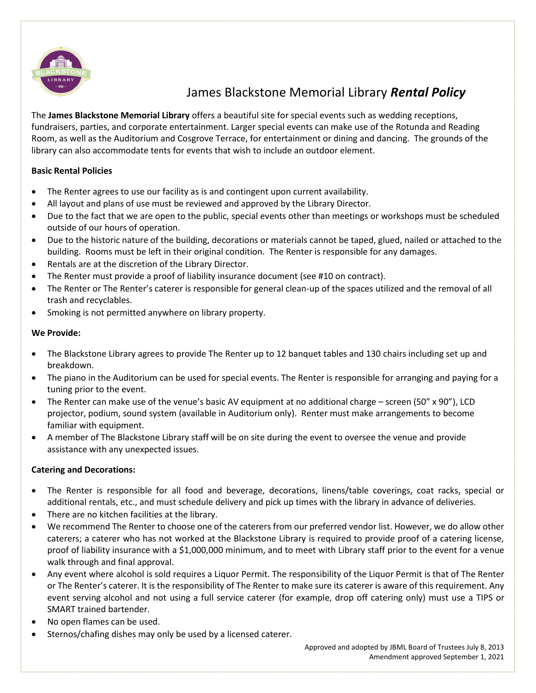

# James Blackstone Memorial Library *Rental Policy*

The **James Blackstone Memorial Library** offers a beautiful site for special events such as wedding receptions, fundraisers, parties, and corporate entertainment. Larger special events can make use of the Rotunda and Reading Room, as well as the Auditorium and Cosgrove Terrace, for entertainment or dining and dancing. The grounds of the library can also accommodate tents for events that wish to include an outdoor element.

### **Basic Rental Policies**

- The Renter agrees to use our facility as is and contingent upon current availability.
- All layout and plans of use must be reviewed and approved by the Library Director.
- Due to the fact that we are open to the public, special events other than meetings or workshops must be scheduled outside of our hours of operation.
- Due to the historic nature of the building, decorations or materials cannot be taped, glued, nailed or attached to the building. Rooms must be left in their original condition. The Renter is responsible for any damages.
- Rentals are at the discretion of the Library Director.
- The Renter must provide a proof of liability insurance document (see #10 on contract).
- The Renter or The Renter's caterer is responsible for general clean-up of the spaces utilized and the removal of all trash and recyclables.
- Smoking is not permitted anywhere on library property.

### **We Provide:**

- The Blackstone Library agrees to provide The Renter up to 12 banquet tables and 130 chairs including set up and breakdown.
- The piano in the Auditorium can be used for special events. The Renter is responsible for arranging and paying for a tuning prior to the event.
- The Renter can make use of the venue's basic AV equipment at no additional charge screen (50" x 90"), LCD projector, podium, sound system (available in Auditorium only). Renter must make arrangements to become familiar with equipment.
- A member of The Blackstone Library staff will be on site during the event to oversee the venue and provide assistance with any unexpected issues.

### **Catering and Decorations:**

- The Renter is responsible for all food and beverage, decorations, linens/table coverings, coat racks, special or additional rentals, etc., and must schedule delivery and pick up times with the library in advance of deliveries.
- There are no kitchen facilities at the library.
- We recommend The Renter to choose one of the caterers from our preferred vendor list. However, we do allow other caterers; a caterer who has not worked at the Blackstone Library is required to provide proof of a catering license, proof of liability insurance with a \$1,000,000 minimum, and to meet with Library staff prior to the event for a venue walk through and final approval.
- Any event where alcohol is sold requires a Liquor Permit. The responsibility of the Liquor Permit is that of The Renter or The Renter's caterer. It is the responsibility of The Renter to make sure its caterer is aware of this requirement. Any event serving alcohol and not using a full service caterer (for example, drop off catering only) must use a TIPS or SMART trained bartender.
- No open flames can be used.
- Sternos/chafing dishes may only be used by a licensed caterer.

 Approved and adopted by JBML Board of Trustees July 8, 2013 Amendment approved September 1, 2021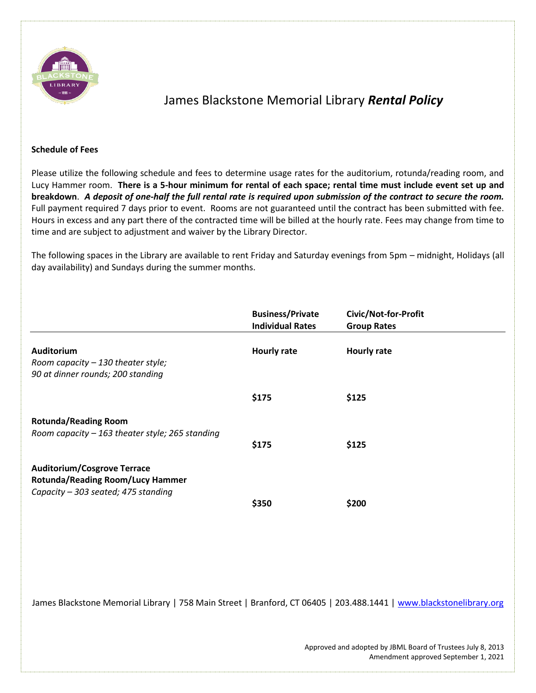

## James Blackstone Memorial Library *Rental Policy*

#### **Schedule of Fees**

Please utilize the following schedule and fees to determine usage rates for the auditorium, rotunda/reading room, and Lucy Hammer room. **There is a 5-hour minimum for rental of each space; rental time must include event set up and breakdown**. *A deposit of one-half the full rental rate is required upon submission of the contract to secure the room.* Full payment required 7 days prior to event. Rooms are not guaranteed until the contract has been submitted with fee. Hours in excess and any part there of the contracted time will be billed at the hourly rate. Fees may change from time to time and are subject to adjustment and waiver by the Library Director.

The following spaces in the Library are available to rent Friday and Saturday evenings from 5pm – midnight, Holidays (all day availability) and Sundays during the summer months.

|                                                                                                                      | <b>Business/Private</b><br><b>Individual Rates</b> | Civic/Not-for-Profit<br><b>Group Rates</b> |  |
|----------------------------------------------------------------------------------------------------------------------|----------------------------------------------------|--------------------------------------------|--|
| <b>Auditorium</b><br>Room capacity - 130 theater style;<br>90 at dinner rounds; 200 standing                         | <b>Hourly rate</b>                                 | <b>Hourly rate</b>                         |  |
|                                                                                                                      | \$175                                              | \$125                                      |  |
| <b>Rotunda/Reading Room</b><br>Room capacity $-163$ theater style; 265 standing                                      | \$175                                              | \$125                                      |  |
| <b>Auditorium/Cosgrove Terrace</b><br><b>Rotunda/Reading Room/Lucy Hammer</b><br>Capacity - 303 seated; 475 standing | \$350                                              | \$200                                      |  |

James Blackstone Memorial Library | 758 Main Street | Branford, CT 06405 | 203.488.1441 | [www.blackstonelibrary.org](http://www.blackstonelibrary.org/)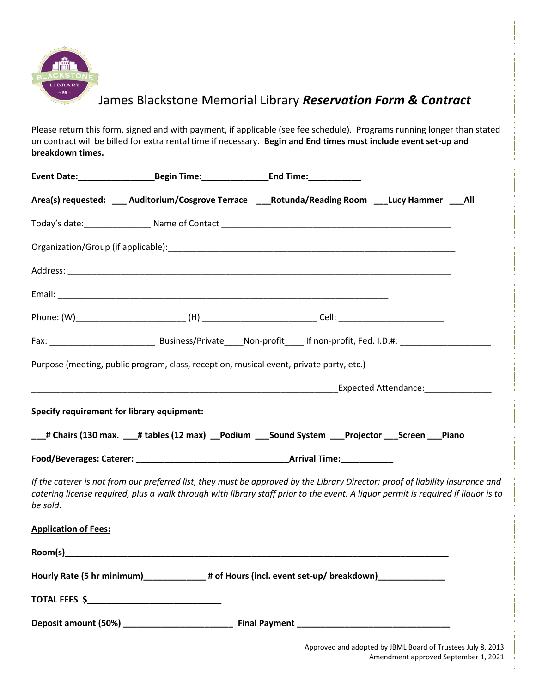

# James Blackstone Memorial Library *Reservation Form & Contract*

Please return this form, signed and with payment, if applicable (see fee schedule). Programs running longer than stated on contract will be billed for extra rental time if necessary. **Begin and End times must include event set-up and breakdown times.**

|                                                                                                                                                                                                                                                                                 | Event Date:__________________________Begin Time:_________________________________                                      |  |                                                                                                     |  |
|---------------------------------------------------------------------------------------------------------------------------------------------------------------------------------------------------------------------------------------------------------------------------------|------------------------------------------------------------------------------------------------------------------------|--|-----------------------------------------------------------------------------------------------------|--|
|                                                                                                                                                                                                                                                                                 | Area(s) requested: ___ Auditorium/Cosgrove Terrace ___Rotunda/Reading Room ___Lucy Hammer ___All                       |  |                                                                                                     |  |
|                                                                                                                                                                                                                                                                                 |                                                                                                                        |  |                                                                                                     |  |
|                                                                                                                                                                                                                                                                                 |                                                                                                                        |  |                                                                                                     |  |
|                                                                                                                                                                                                                                                                                 |                                                                                                                        |  |                                                                                                     |  |
|                                                                                                                                                                                                                                                                                 |                                                                                                                        |  |                                                                                                     |  |
|                                                                                                                                                                                                                                                                                 |                                                                                                                        |  |                                                                                                     |  |
|                                                                                                                                                                                                                                                                                 |                                                                                                                        |  |                                                                                                     |  |
|                                                                                                                                                                                                                                                                                 | Purpose (meeting, public program, class, reception, musical event, private party, etc.)                                |  |                                                                                                     |  |
|                                                                                                                                                                                                                                                                                 | <b>Expected Attendance:</b> The Contract of the Contract of Contract of Contract of Contract of Contract of Contract o |  |                                                                                                     |  |
| <b>Specify requirement for library equipment:</b>                                                                                                                                                                                                                               |                                                                                                                        |  |                                                                                                     |  |
|                                                                                                                                                                                                                                                                                 | ___# Chairs (130 max. ___# tables (12 max) ___Podium ____Sound System ____Projector ____Screen ____Piano               |  |                                                                                                     |  |
|                                                                                                                                                                                                                                                                                 |                                                                                                                        |  |                                                                                                     |  |
| If the caterer is not from our preferred list, they must be approved by the Library Director; proof of liability insurance and<br>catering license required, plus a walk through with library staff prior to the event. A liquor permit is required if liquor is to<br>be sold. |                                                                                                                        |  |                                                                                                     |  |
| <b>Application of Fees:</b>                                                                                                                                                                                                                                                     |                                                                                                                        |  |                                                                                                     |  |
|                                                                                                                                                                                                                                                                                 |                                                                                                                        |  |                                                                                                     |  |
|                                                                                                                                                                                                                                                                                 | Hourly Rate (5 hr minimum)______________# of Hours (incl. event set-up/ breakdown)________________                     |  |                                                                                                     |  |
|                                                                                                                                                                                                                                                                                 |                                                                                                                        |  |                                                                                                     |  |
|                                                                                                                                                                                                                                                                                 |                                                                                                                        |  |                                                                                                     |  |
|                                                                                                                                                                                                                                                                                 |                                                                                                                        |  | Approved and adopted by JBML Board of Trustees July 8, 2013<br>Amendment approved September 1, 2021 |  |